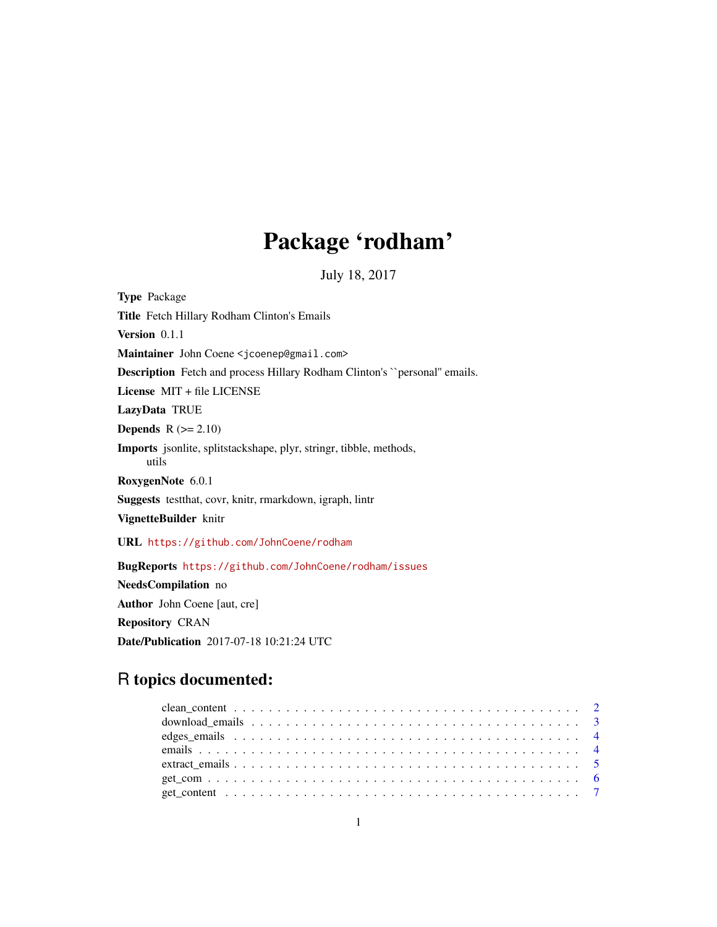# Package 'rodham'

July 18, 2017

Type Package Title Fetch Hillary Rodham Clinton's Emails Version 0.1.1 Maintainer John Coene <jcoenep@gmail.com> Description Fetch and process Hillary Rodham Clinton's ``personal'' emails. License MIT + file LICENSE LazyData TRUE **Depends**  $R$  ( $>= 2.10$ ) Imports jsonlite, splitstackshape, plyr, stringr, tibble, methods, utils RoxygenNote 6.0.1 Suggests testthat, covr, knitr, rmarkdown, igraph, lintr VignetteBuilder knitr URL <https://github.com/JohnCoene/rodham> BugReports <https://github.com/JohnCoene/rodham/issues> NeedsCompilation no Author John Coene [aut, cre]

Repository CRAN Date/Publication 2017-07-18 10:21:24 UTC

# R topics documented: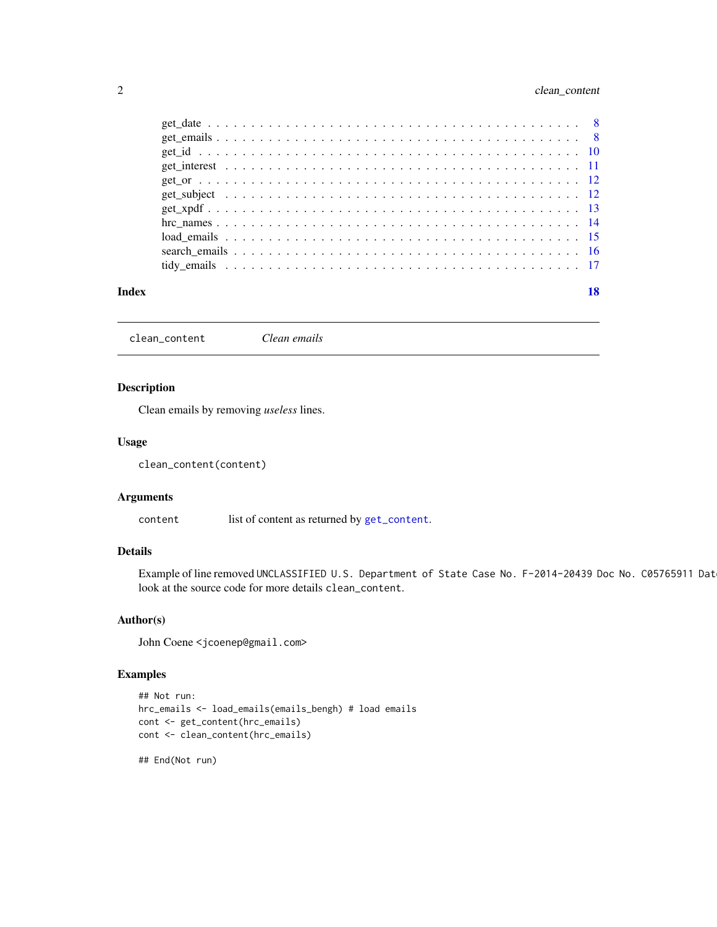# <span id="page-1-0"></span>2 clean\_content

#### **Index** 2008 **[18](#page-17-0)**

clean\_content *Clean emails*

# Description

Clean emails by removing *useless* lines.

#### Usage

clean\_content(content)

# Arguments

content list of content as returned by [get\\_content](#page-6-1).

# Details

Example of line removed UNCLASSIFIED U.S. Department of State Case No. F-2014-20439 Doc No. C05765911 Dat look at the source code for more details clean\_content.

#### Author(s)

John Coene <jcoenep@gmail.com>

```
## Not run:
hrc_emails <- load_emails(emails_bengh) # load emails
cont <- get_content(hrc_emails)
cont <- clean_content(hrc_emails)
```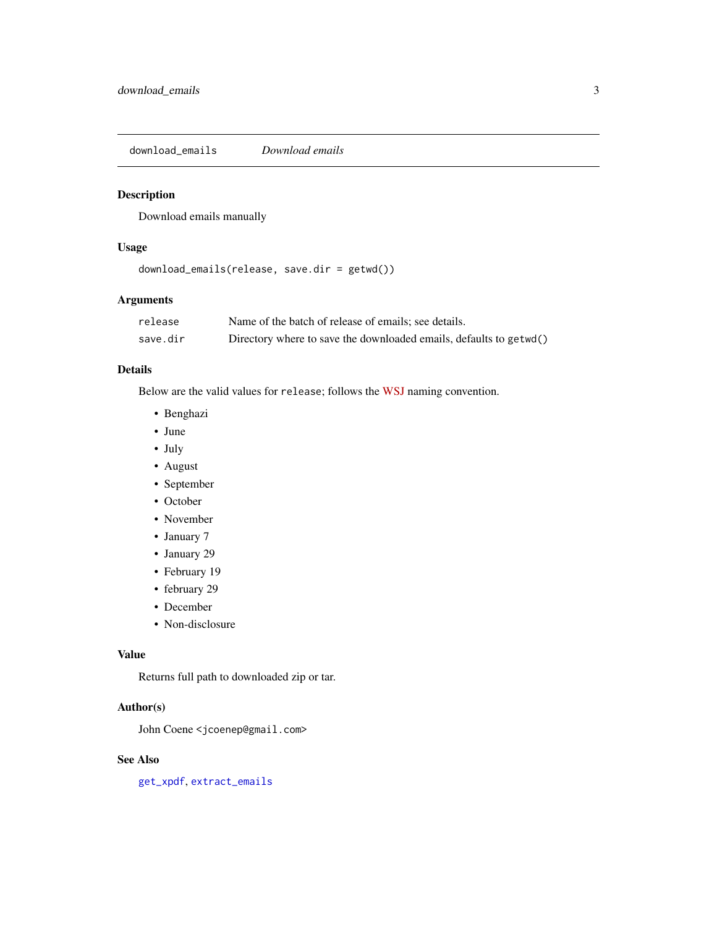<span id="page-2-1"></span><span id="page-2-0"></span>download\_emails *Download emails*

#### Description

Download emails manually

#### Usage

```
download_emails(release, save.dir = getwd())
```
# Arguments

| release  | Name of the batch of release of emails; see details.               |
|----------|--------------------------------------------------------------------|
| save.dir | Directory where to save the downloaded emails, defaults to getwd() |

# Details

Below are the valid values for release; follows the [WSJ](http://graphics.wsj.com/hillary-clinton-email-documents/) naming convention.

- Benghazi
- June
- July
- August
- September
- October
- November
- January 7
- January 29
- February 19
- february 29
- December
- Non-disclosure

#### Value

Returns full path to downloaded zip or tar.

# Author(s)

John Coene <jcoenep@gmail.com>

#### See Also

[get\\_xpdf](#page-12-1), [extract\\_emails](#page-4-1)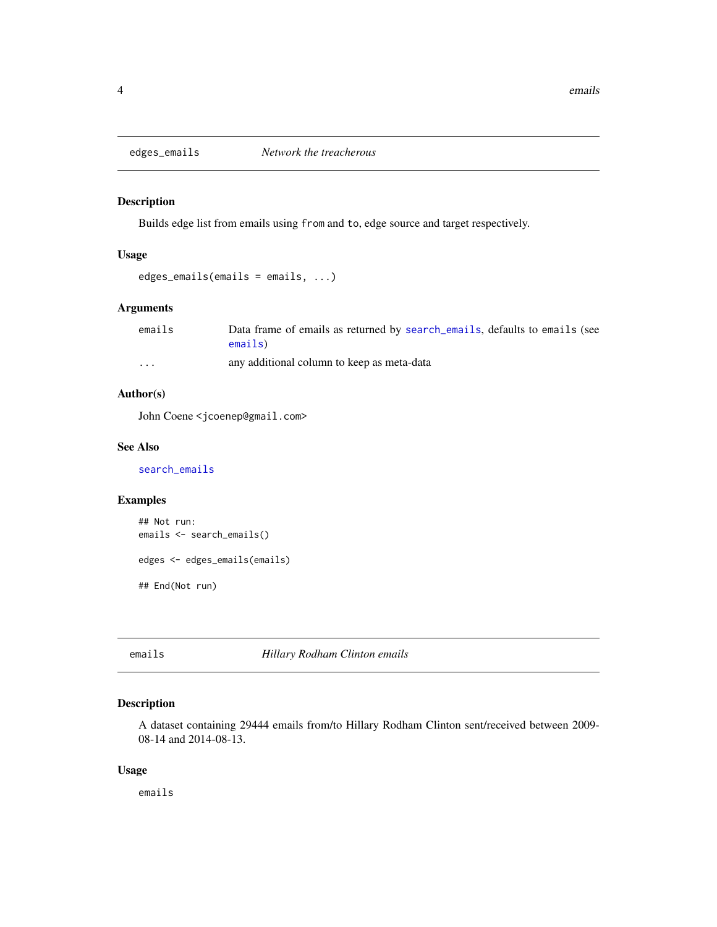<span id="page-3-0"></span>

Builds edge list from emails using from and to, edge source and target respectively.

# Usage

```
edges_emails(emails = emails, ...)
```
# Arguments

| emails | Data frame of emails as returned by search emails, defaults to emails (see |
|--------|----------------------------------------------------------------------------|
|        | emails)                                                                    |
| .      | any additional column to keep as meta-data                                 |

# Author(s)

John Coene <jcoenep@gmail.com>

#### See Also

[search\\_emails](#page-15-1)

# Examples

```
## Not run:
emails <- search_emails()
edges <- edges_emails(emails)
## End(Not run)
```
<span id="page-3-1"></span>emails *Hillary Rodham Clinton emails*

# Description

A dataset containing 29444 emails from/to Hillary Rodham Clinton sent/received between 2009- 08-14 and 2014-08-13.

# Usage

emails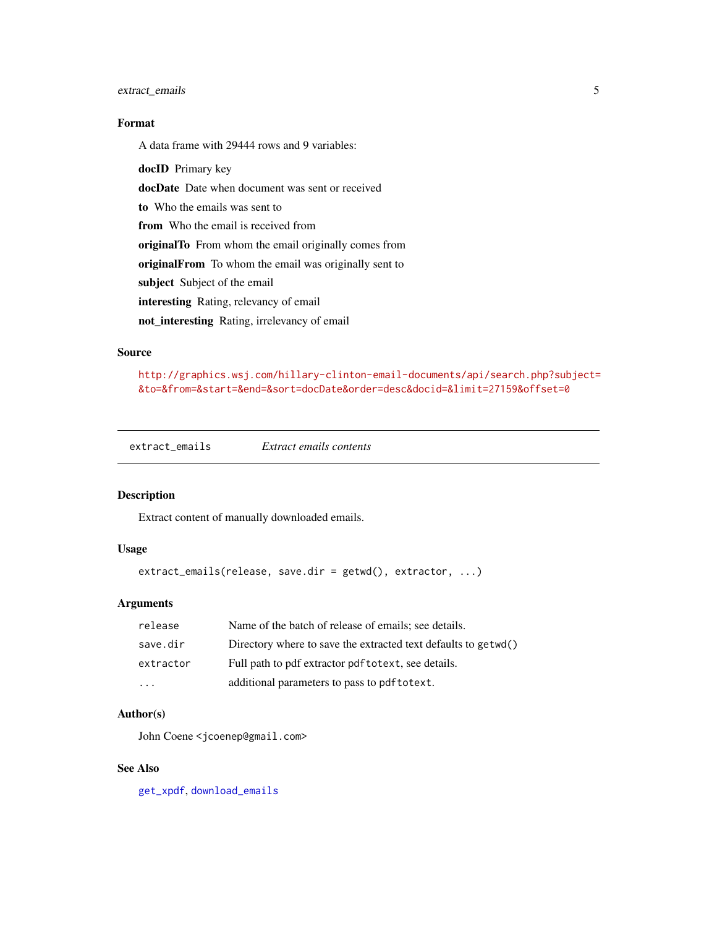# <span id="page-4-0"></span>extract\_emails 5

# Format

A data frame with 29444 rows and 9 variables:

docID Primary key

docDate Date when document was sent or received

to Who the emails was sent to

from Who the email is received from

originalTo From whom the email originally comes from

originalFrom To whom the email was originally sent to

subject Subject of the email

interesting Rating, relevancy of email

not\_interesting Rating, irrelevancy of email

#### Source

[http://graphics.wsj.com/hillary-clinton-email-documents/api/search.php?subject=](http://graphics.wsj.com/hillary-clinton-email-documents/api/search.php?subject=&to=&from=&start=&end=&sort=docDate&order=desc&docid=&limit=27159&offset=0) [&to=&from=&start=&end=&sort=docDate&order=desc&docid=&limit=27159&offset=0](http://graphics.wsj.com/hillary-clinton-email-documents/api/search.php?subject=&to=&from=&start=&end=&sort=docDate&order=desc&docid=&limit=27159&offset=0)

<span id="page-4-1"></span>extract\_emails *Extract emails contents*

# Description

Extract content of manually downloaded emails.

#### Usage

extract\_emails(release, save.dir = getwd(), extractor, ...)

#### Arguments

| release                 | Name of the batch of release of emails; see details.           |
|-------------------------|----------------------------------------------------------------|
| save.dir                | Directory where to save the extracted text defaults to getwd() |
| extractor               | Full path to pdf extractor pdf to text, see details.           |
| $\cdot$ $\cdot$ $\cdot$ | additional parameters to pass to pdf to text.                  |

#### Author(s)

John Coene <jcoenep@gmail.com>

#### See Also

[get\\_xpdf](#page-12-1), [download\\_emails](#page-2-1)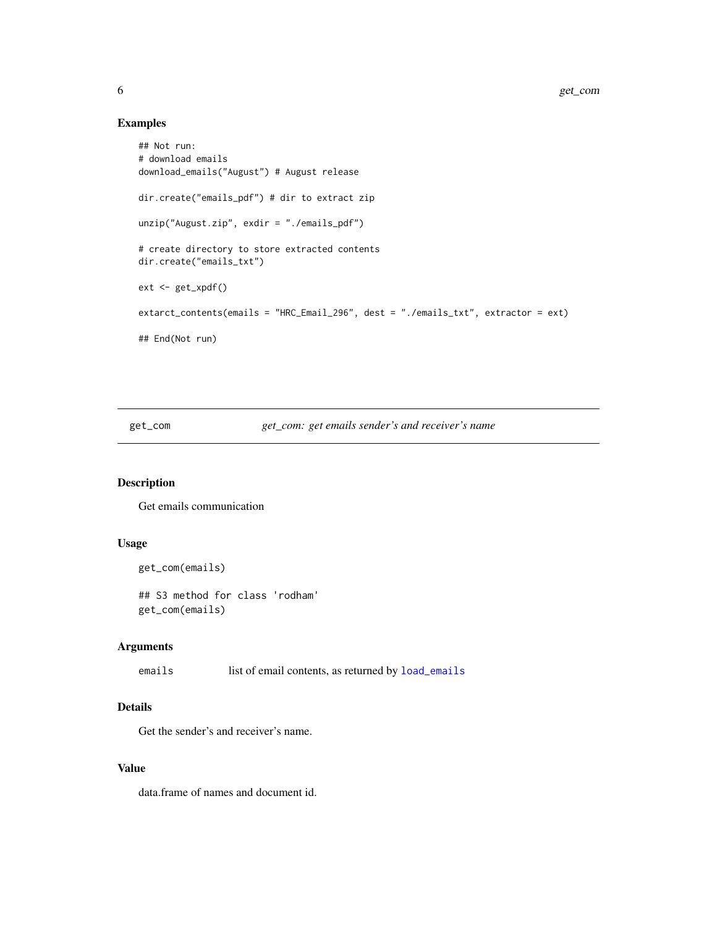# Examples

```
## Not run:
# download emails
download_emails("August") # August release
dir.create("emails_pdf") # dir to extract zip
unzip("August.zip", exdir = "./emails_pdf")
# create directory to store extracted contents
dir.create("emails_txt")
ext <- get_xpdf()
extarct_contents(emails = "HRC_Email_296", dest = "./emails_txt", extractor = ext)
## End(Not run)
```
get\_com *get\_com: get emails sender's and receiver's name*

# Description

Get emails communication

#### Usage

```
get_com(emails)
```
## S3 method for class 'rodham' get\_com(emails)

# Arguments

emails list of email contents, as returned by [load\\_emails](#page-14-1)

# Details

Get the sender's and receiver's name.

#### Value

data.frame of names and document id.

<span id="page-5-0"></span>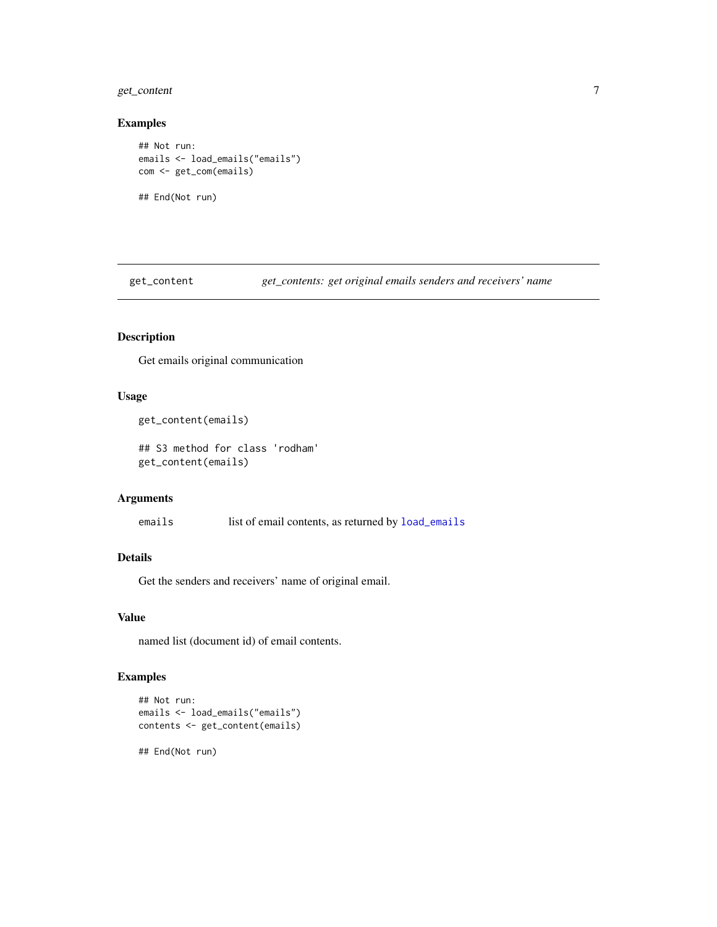# <span id="page-6-0"></span>get\_content 7

#### Examples

```
## Not run:
emails <- load_emails("emails")
com <- get_com(emails)
## End(Not run)
```
<span id="page-6-1"></span>get\_content *get\_contents: get original emails senders and receivers' name*

# Description

Get emails original communication

#### Usage

```
get_content(emails)
```
## S3 method for class 'rodham' get\_content(emails)

#### Arguments

emails list of email contents, as returned by [load\\_emails](#page-14-1)

#### Details

Get the senders and receivers' name of original email.

## Value

named list (document id) of email contents.

```
## Not run:
emails <- load_emails("emails")
contents <- get_content(emails)
## End(Not run)
```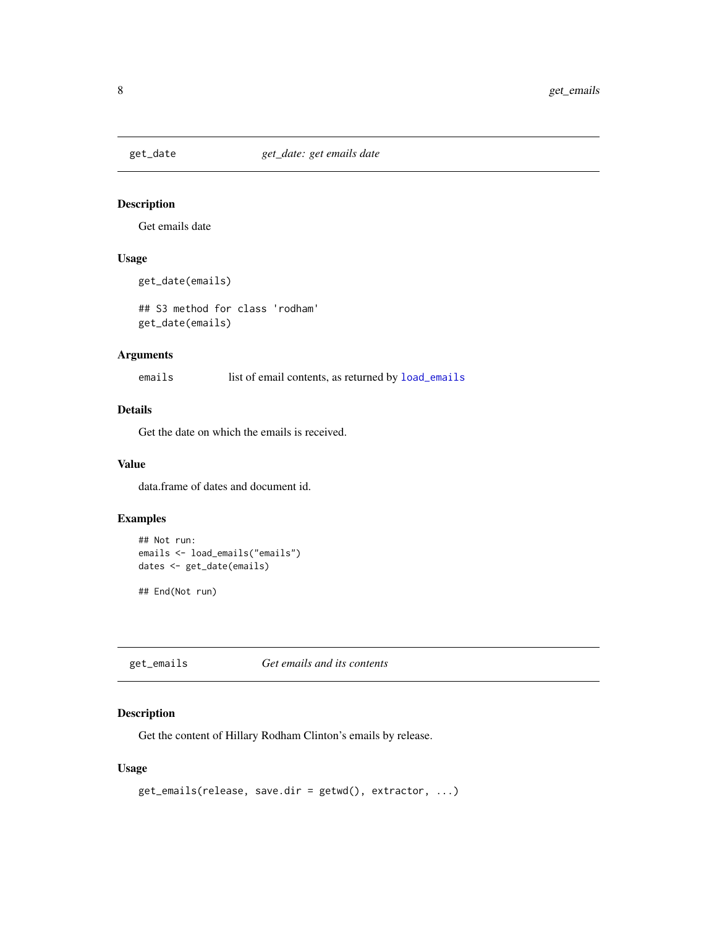<span id="page-7-0"></span>

Get emails date

# Usage

```
get_date(emails)
```
## S3 method for class 'rodham' get\_date(emails)

# Arguments

emails list of email contents, as returned by [load\\_emails](#page-14-1)

# Details

Get the date on which the emails is received.

#### Value

data.frame of dates and document id.

# Examples

```
## Not run:
emails <- load_emails("emails")
dates <- get_date(emails)
## End(Not run)
```
<span id="page-7-1"></span>get\_emails *Get emails and its contents*

# Description

Get the content of Hillary Rodham Clinton's emails by release.

# Usage

```
get_emails(release, save.dir = getwd(), extractor, ...)
```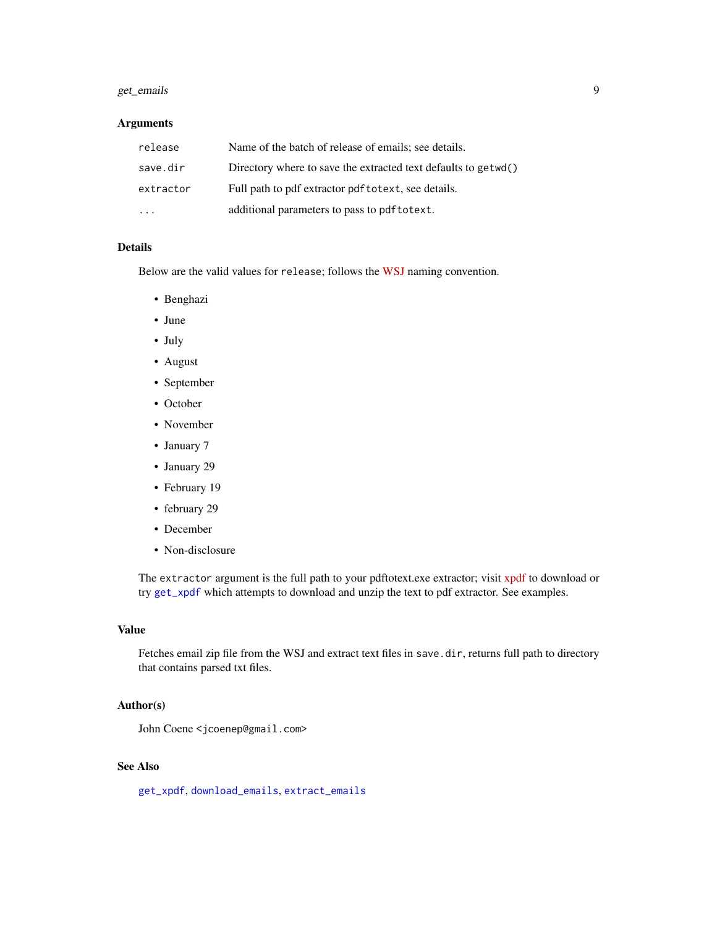# <span id="page-8-0"></span>get\_emails 9

# Arguments

| release   | Name of the batch of release of emails; see details.           |
|-----------|----------------------------------------------------------------|
| save.dir  | Directory where to save the extracted text defaults to getwd() |
| extractor | Full path to pdf extractor pdf to text, see details.           |
| $\cdot$   | additional parameters to pass to pdf to text.                  |

#### Details

Below are the valid values for release; follows the [WSJ](http://graphics.wsj.com/hillary-clinton-email-documents/) naming convention.

- Benghazi
- June
- July
- August
- September
- October
- November
- January 7
- January 29
- February 19
- february 29
- December
- Non-disclosure

The extractor argument is the full path to your pdftotext.exe extractor; visit [xpdf](http://www.foolabs.com/xpdf/download.html) to download or try [get\\_xpdf](#page-12-1) which attempts to download and unzip the text to pdf extractor. See examples.

#### Value

Fetches email zip file from the WSJ and extract text files in save.dir, returns full path to directory that contains parsed txt files.

#### Author(s)

John Coene <jcoenep@gmail.com>

# See Also

[get\\_xpdf](#page-12-1), [download\\_emails](#page-2-1), [extract\\_emails](#page-4-1)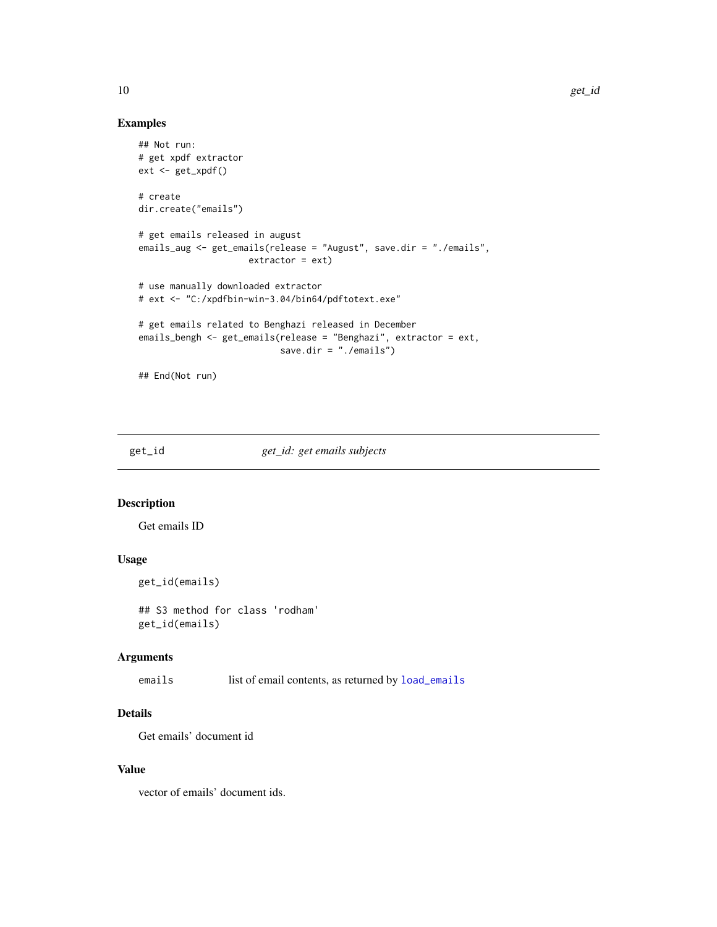# <span id="page-9-0"></span>Examples

```
## Not run:
# get xpdf extractor
ext <- get_xpdf()
# create
dir.create("emails")
# get emails released in august
emails_aug <- get_emails(release = "August", save.dir = "./emails",
                    extractor = ext)
# use manually downloaded extractor
# ext <- "C:/xpdfbin-win-3.04/bin64/pdftotext.exe"
# get emails related to Benghazi released in December
emails_bengh <- get_emails(release = "Benghazi", extractor = ext,
                          save.dir = "./emails")
## End(Not run)
```
get\_id *get\_id: get emails subjects*

# Description

Get emails ID

# Usage

get\_id(emails)

## S3 method for class 'rodham' get\_id(emails)

# Arguments

emails list of email contents, as returned by [load\\_emails](#page-14-1)

# Details

Get emails' document id

#### Value

vector of emails' document ids.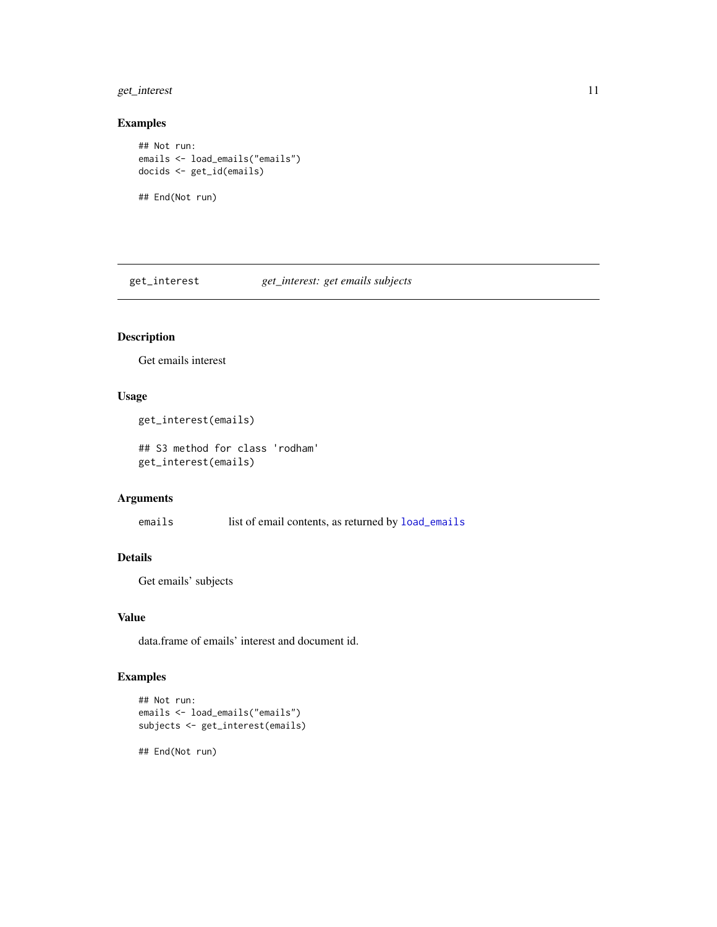# <span id="page-10-0"></span>get\_interest 11

#### Examples

```
## Not run:
emails <- load_emails("emails")
docids <- get_id(emails)
## End(Not run)
```
get\_interest *get\_interest: get emails subjects*

# Description

Get emails interest

# Usage

```
get_interest(emails)
```
## S3 method for class 'rodham' get\_interest(emails)

# Arguments

emails list of email contents, as returned by [load\\_emails](#page-14-1)

# Details

Get emails' subjects

## Value

data.frame of emails' interest and document id.

```
## Not run:
emails <- load_emails("emails")
subjects <- get_interest(emails)
## End(Not run)
```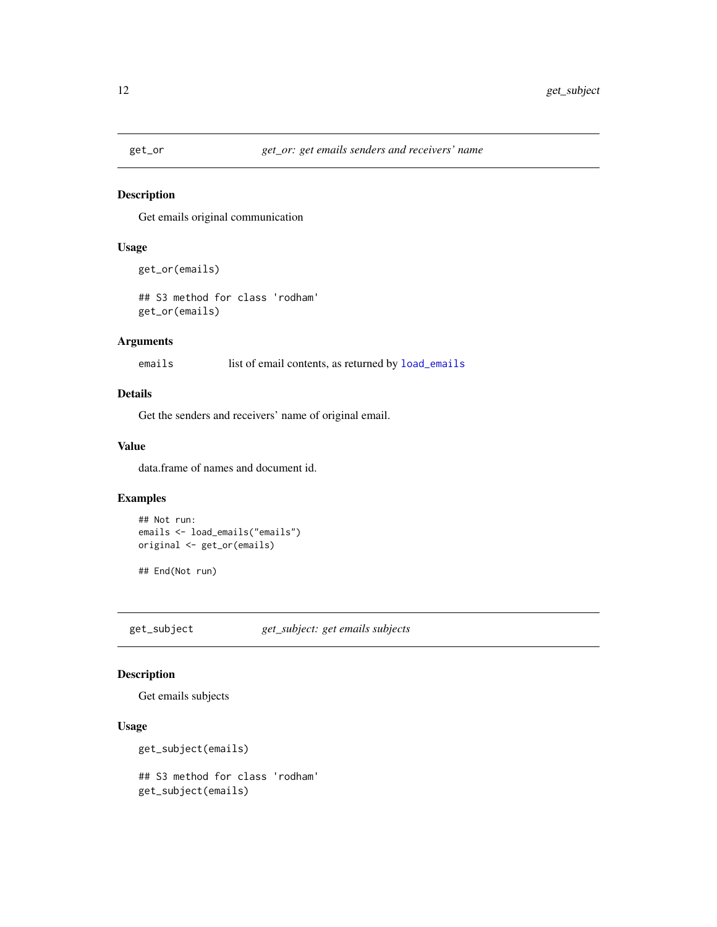<span id="page-11-0"></span>

Get emails original communication

#### Usage

```
get_or(emails)
```
## S3 method for class 'rodham' get\_or(emails)

# Arguments

emails list of email contents, as returned by [load\\_emails](#page-14-1)

# Details

Get the senders and receivers' name of original email.

# Value

data.frame of names and document id.

# Examples

```
## Not run:
emails <- load_emails("emails")
original <- get_or(emails)
```
## End(Not run)

get\_subject *get\_subject: get emails subjects*

# Description

Get emails subjects

# Usage

```
get_subject(emails)
## S3 method for class 'rodham'
```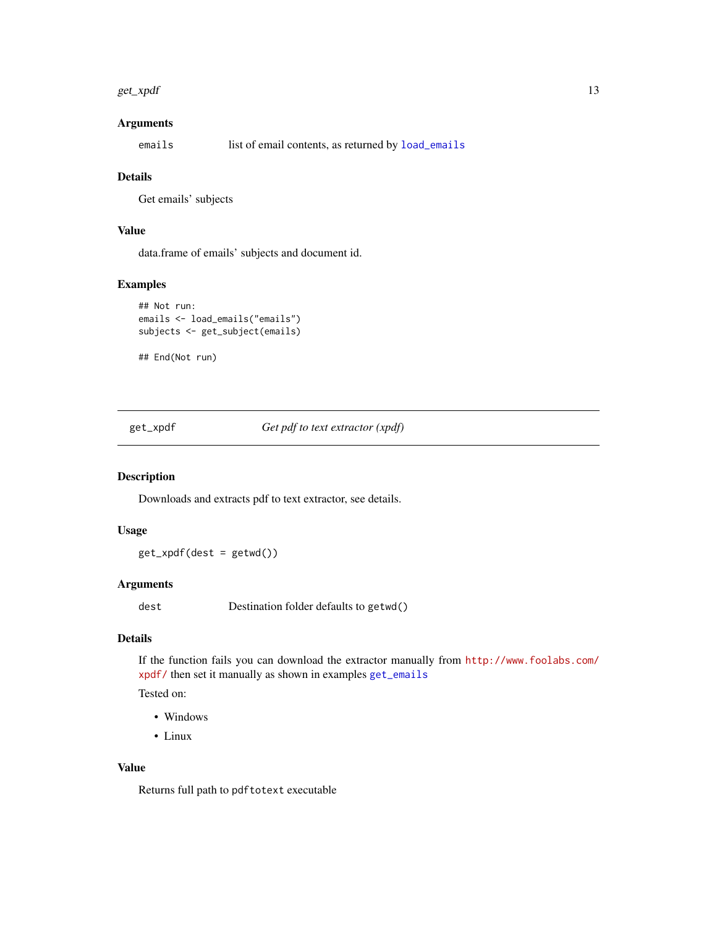#### <span id="page-12-0"></span>get\_xpdf 13

# Arguments

emails list of email contents, as returned by [load\\_emails](#page-14-1)

#### Details

Get emails' subjects

# Value

data.frame of emails' subjects and document id.

# Examples

```
## Not run:
emails <- load_emails("emails")
subjects <- get_subject(emails)
```
## End(Not run)

<span id="page-12-1"></span>get\_xpdf *Get pdf to text extractor (xpdf)*

# Description

Downloads and extracts pdf to text extractor, see details.

#### Usage

get\_xpdf(dest = getwd())

#### Arguments

dest Destination folder defaults to getwd()

# Details

If the function fails you can download the extractor manually from [http://www.foolabs.com/](http://www.foolabs.com/xpdf/) [xpdf/](http://www.foolabs.com/xpdf/) then set it manually as shown in examples [get\\_emails](#page-7-1)

Tested on:

- Windows
- Linux

# Value

Returns full path to pdftotext executable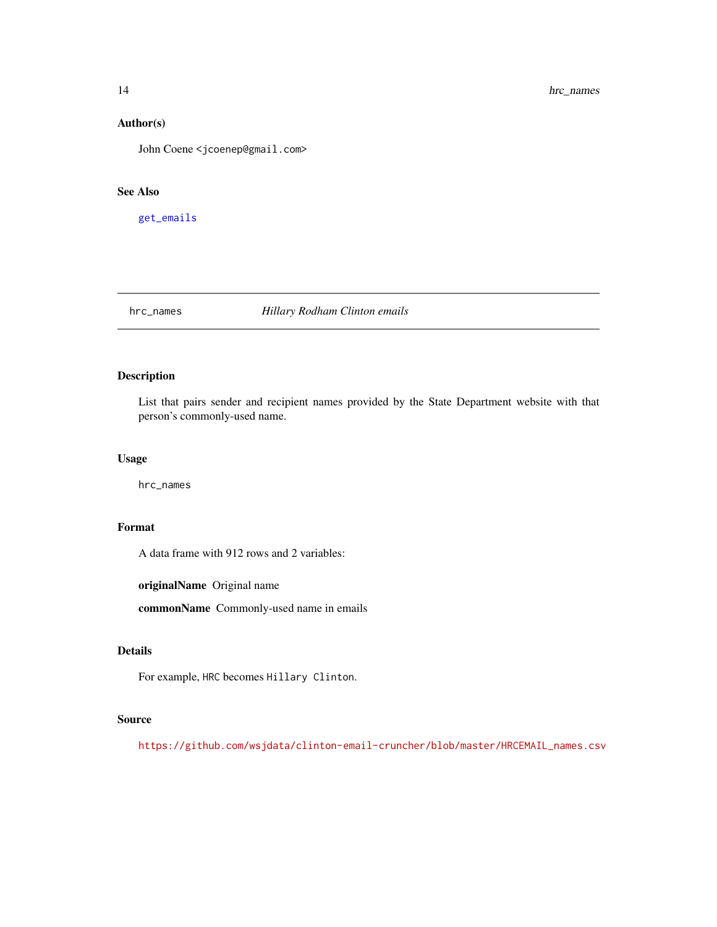#### Author(s)

John Coene <jcoenep@gmail.com>

#### See Also

[get\\_emails](#page-7-1)

hrc\_names *Hillary Rodham Clinton emails*

# Description

List that pairs sender and recipient names provided by the State Department website with that person's commonly-used name.

## Usage

hrc\_names

# Format

A data frame with 912 rows and 2 variables:

originalName Original name

commonName Commonly-used name in emails

# Details

For example, HRC becomes Hillary Clinton.

#### Source

[https://github.com/wsjdata/clinton-email-cruncher/blob/master/HRCEMAIL\\_names.csv](https://github.com/wsjdata/clinton-email-cruncher/blob/master/HRCEMAIL_names.csv)

<span id="page-13-0"></span>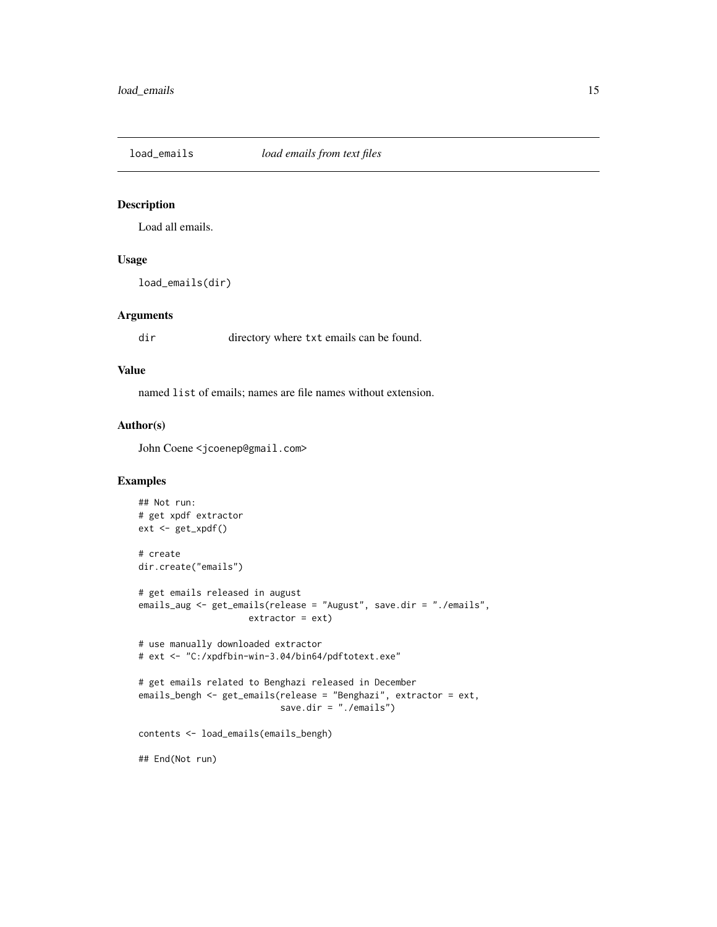<span id="page-14-1"></span><span id="page-14-0"></span>

Load all emails.

#### Usage

load\_emails(dir)

# Arguments

dir directory where txt emails can be found.

#### Value

named list of emails; names are file names without extension.

#### Author(s)

John Coene <jcoenep@gmail.com>

```
## Not run:
# get xpdf extractor
ext <- get_xpdf()
# create
dir.create("emails")
# get emails released in august
emails_aug <- get_emails(release = "August", save.dir = "./emails",
                     extractor = ext)
# use manually downloaded extractor
# ext <- "C:/xpdfbin-win-3.04/bin64/pdftotext.exe"
# get emails related to Benghazi released in December
emails_bengh <- get_emails(release = "Benghazi", extractor = ext,
                           save.dir = "./emails")
contents <- load_emails(emails_bengh)
## End(Not run)
```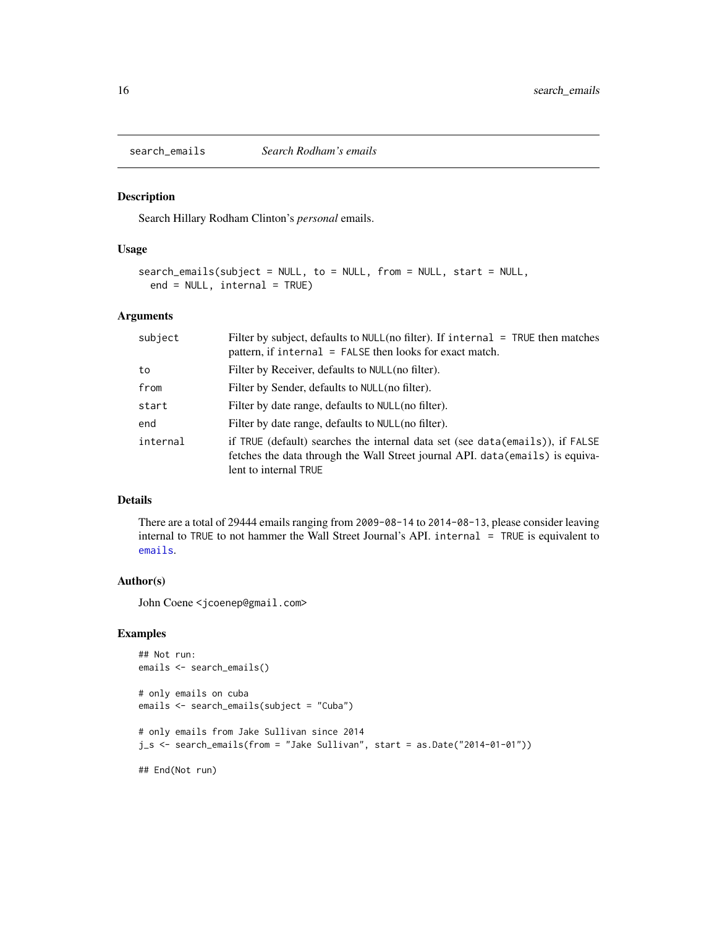<span id="page-15-1"></span><span id="page-15-0"></span>

Search Hillary Rodham Clinton's *personal* emails.

#### Usage

```
search_emails(subject = NULL, to = NULL, from = NULL, start = NULL,
 end = NULL, internal = TRUE)
```
# Arguments

| subject  | Filter by subject, defaults to $NULL(no filter)$ . If internal = TRUE then matches<br>pattern, if internal = FALSE then looks for exact match.                                           |
|----------|------------------------------------------------------------------------------------------------------------------------------------------------------------------------------------------|
| to       | Filter by Receiver, defaults to NULL (no filter).                                                                                                                                        |
| from     | Filter by Sender, defaults to NULL(no filter).                                                                                                                                           |
| start    | Filter by date range, defaults to NULL (no filter).                                                                                                                                      |
| end      | Filter by date range, defaults to NULL (no filter).                                                                                                                                      |
| internal | if TRUE (default) searches the internal data set (see data(emails)), if FALSE<br>fetches the data through the Wall Street journal API. data (emails) is equiva-<br>lent to internal TRUE |

#### Details

There are a total of 29444 emails ranging from 2009-08-14 to 2014-08-13, please consider leaving internal to TRUE to not hammer the Wall Street Journal's API. internal = TRUE is equivalent to [emails](#page-3-1).

#### Author(s)

John Coene <jcoenep@gmail.com>

```
## Not run:
emails <- search_emails()
# only emails on cuba
emails <- search_emails(subject = "Cuba")
# only emails from Jake Sullivan since 2014
j_s <- search_emails(from = "Jake Sullivan", start = as.Date("2014-01-01"))
## End(Not run)
```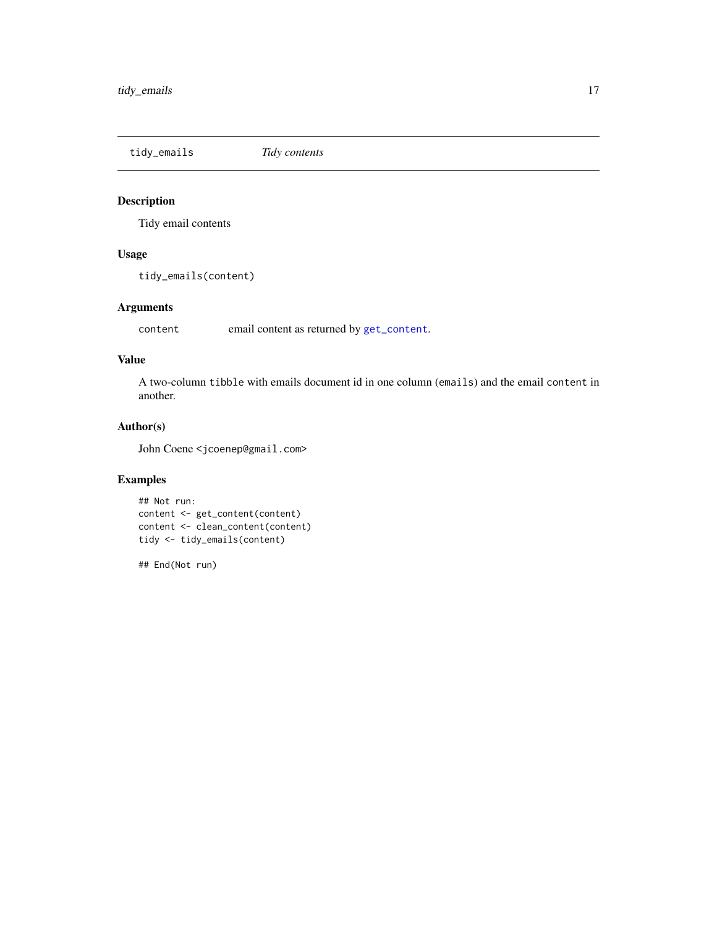<span id="page-16-0"></span>tidy\_emails *Tidy contents*

# Description

Tidy email contents

# Usage

tidy\_emails(content)

# Arguments

content email content as returned by [get\\_content](#page-6-1).

#### Value

A two-column tibble with emails document id in one column (emails) and the email content in another.

# Author(s)

John Coene <jcoenep@gmail.com>

# Examples

```
## Not run:
content <- get_content(content)
content <- clean_content(content)
tidy <- tidy_emails(content)
```
## End(Not run)